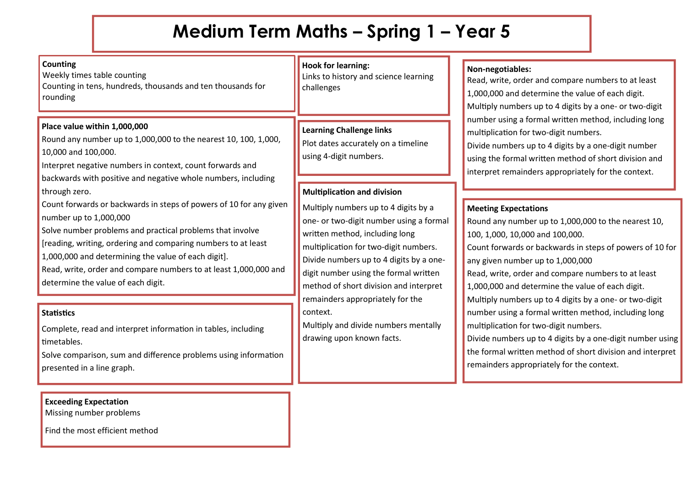# **Medium Term Maths – Spring 1 – Year 5**

#### **Place value within 1,000,000** Round any number up to 1,000,000 to the nearest 10, 100, 1,000, 10,000 and 100,000. Interpret negative numbers in context, count forwards and backwards with positive and negative whole numbers, including through zero. Count forwards or backwards in steps of powers of 10 for any given number up to 1,000,000 Solve number problems and practical problems that involve [reading, writing, ordering and comparing numbers to at least 1,000,000 and determining the value of each digit]. Read, write, order and compare numbers to at least 1,000,000 and determine the value of each digit. **Hook for learning:** Links to history and science learning challenges **Multiplication and division** Multiply numbers up to 4 digits by a one- or two-digit number using a formal written method, including long multiplication for two-digit numbers. Divide numbers up to 4 digits by a onedigit number using the formal written method of short division and interpret remainders appropriately for the context. **Learning Challenge links** Plot dates accurately on a timeline using 4-digit numbers. **Counting** Weekly times table counting Counting in tens, hundreds, thousands and ten thousands for rounding **Statistics**

Multiply and divide numbers mentally drawing upon known facts.

#### **Non-negotiables:**

Read, write, order and compare numbers to at least 1,000,000 and determine the value of each digit. Multiply numbers up to 4 digits by a one- or two-digit number using a formal written method, including long multiplication for two-digit numbers.

Divide numbers up to 4 digits by a one-digit number using the formal written method of short division and interpret remainders appropriately for the context.

#### **Meeting Expectations**

Round any number up to 1,000,000 to the nearest 10, 100, 1,000, 10,000 and 100,000. Count forwards or backwards in steps of powers of 10 for any given number up to 1,000,000 Read, write, order and compare numbers to at least 1,000,000 and determine the value of each digit. Multiply numbers up to 4 digits by a one- or two-digit number using a formal written method, including long multiplication for two-digit numbers. Divide numbers up to 4 digits by a one-digit number using

the formal written method of short division and interpret remainders appropriately for the context.

Complete, read and interpret information in tables, including timetables.

Solve comparison, sum and difference problems using information presented in a line graph.

### **Exceeding Expectation**

Missing number problems

Find the most efficient method